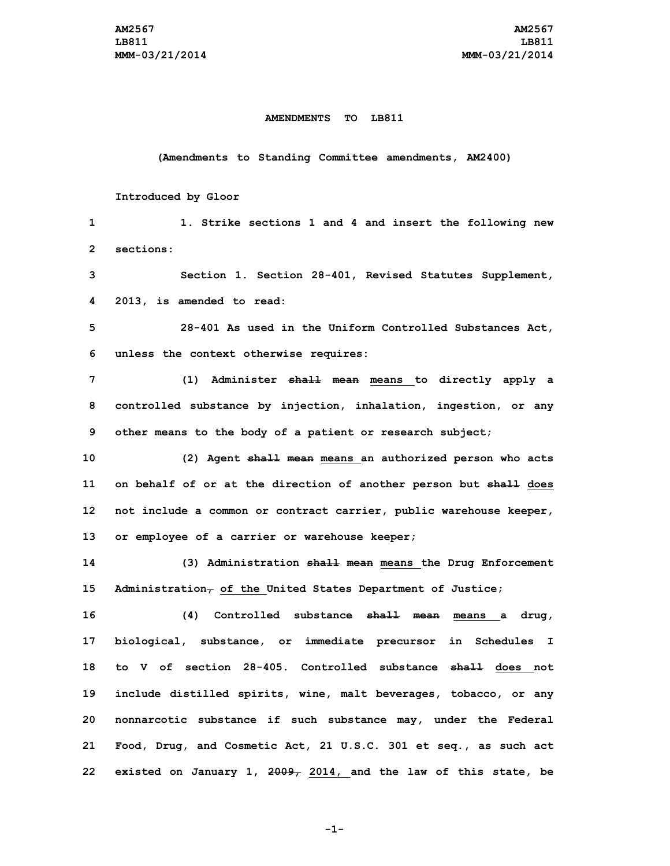## **AMENDMENTS TO LB811**

**(Amendments to Standing Committee amendments, AM2400)**

## **Introduced by Gloor**

 **1. Strike sections 1 and 4 and insert the following new sections: Section 1. Section 28-401, Revised Statutes Supplement, 2013, is amended to read: 28-401 As used in the Uniform Controlled Substances Act, unless the context otherwise requires: (1) Administer shall mean means to directly apply <sup>a</sup> controlled substance by injection, inhalation, ingestion, or any other means to the body of <sup>a</sup> patient or research subject; (2) Agent shall mean means an authorized person who acts on behalf of or at the direction of another person but shall does not include <sup>a</sup> common or contract carrier, public warehouse keeper, or employee of <sup>a</sup> carrier or warehouse keeper; (3) Administration shall mean means the Drug Enforcement Administration, of the United States Department of Justice; (4) Controlled substance shall mean means <sup>a</sup> drug, biological, substance, or immediate precursor in Schedules <sup>I</sup> to V of section 28-405. Controlled substance shall does not include distilled spirits, wine, malt beverages, tobacco, or any nonnarcotic substance if such substance may, under the Federal Food, Drug, and Cosmetic Act, 21 U.S.C. 301 et seq., as such act existed on January 1, 2009, 2014, and the law of this state, be**

**-1-**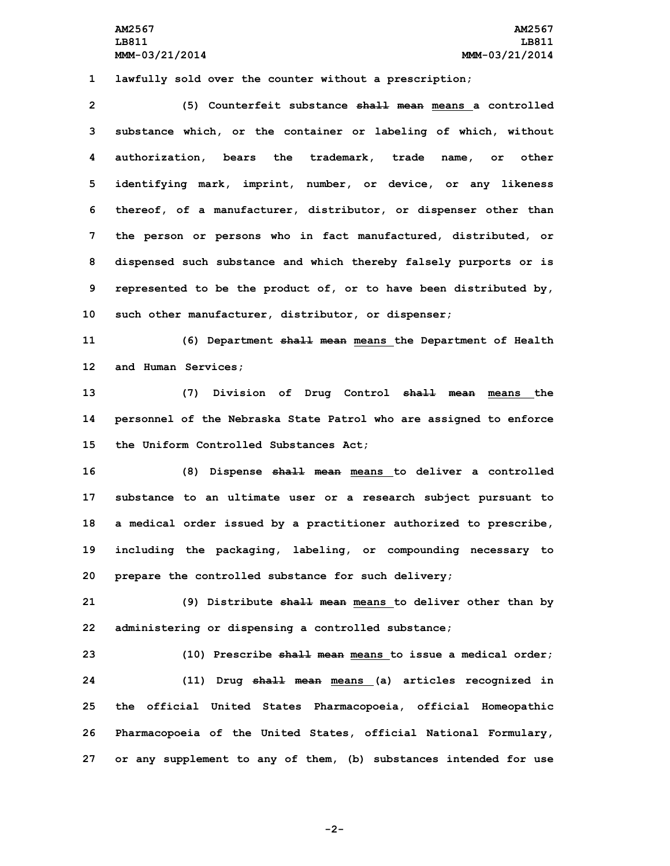**AM2567 AM2567 LB811 LB811 MMM-03/21/2014 MMM-03/21/2014**

**1 lawfully sold over the counter without <sup>a</sup> prescription;**

 **(5) Counterfeit substance shall mean means <sup>a</sup> controlled substance which, or the container or labeling of which, without authorization, bears the trademark, trade name, or other identifying mark, imprint, number, or device, or any likeness thereof, of <sup>a</sup> manufacturer, distributor, or dispenser other than the person or persons who in fact manufactured, distributed, or dispensed such substance and which thereby falsely purports or is represented to be the product of, or to have been distributed by, such other manufacturer, distributor, or dispenser;**

**11 (6) Department shall mean means the Department of Health 12 and Human Services;**

**13 (7) Division of Drug Control shall mean means the 14 personnel of the Nebraska State Patrol who are assigned to enforce 15 the Uniform Controlled Substances Act;**

 **(8) Dispense shall mean means to deliver <sup>a</sup> controlled substance to an ultimate user or <sup>a</sup> research subject pursuant to <sup>a</sup> medical order issued by <sup>a</sup> practitioner authorized to prescribe, including the packaging, labeling, or compounding necessary to prepare the controlled substance for such delivery;**

**21 (9) Distribute shall mean means to deliver other than by 22 administering or dispensing <sup>a</sup> controlled substance;**

 **(10) Prescribe shall mean means to issue <sup>a</sup> medical order; (11) Drug shall mean means (a) articles recognized in the official United States Pharmacopoeia, official Homeopathic Pharmacopoeia of the United States, official National Formulary, or any supplement to any of them, (b) substances intended for use**

**-2-**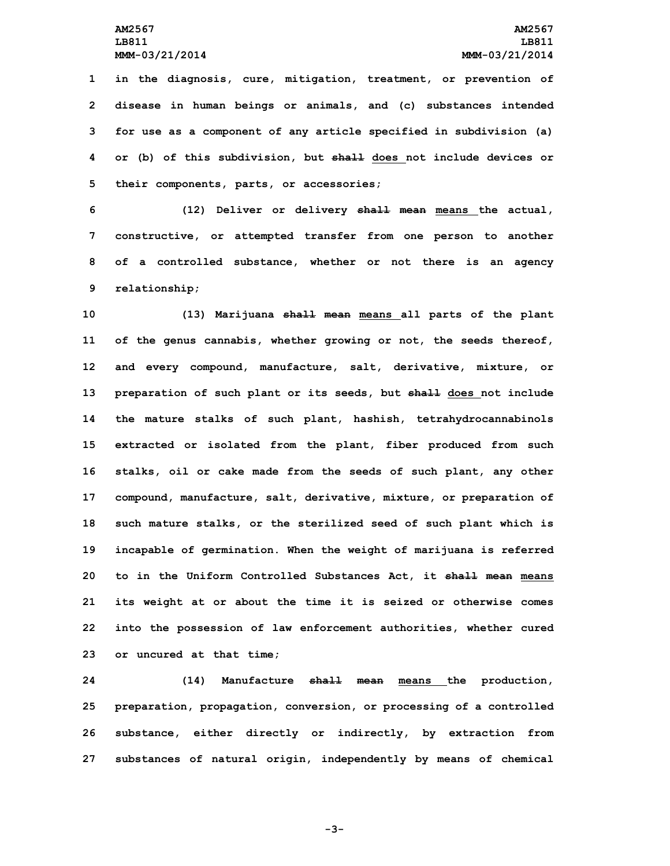**in the diagnosis, cure, mitigation, treatment, or prevention of disease in human beings or animals, and (c) substances intended for use as <sup>a</sup> component of any article specified in subdivision (a) or (b) of this subdivision, but shall does not include devices or their components, parts, or accessories;**

 **(12) Deliver or delivery shall mean means the actual, constructive, or attempted transfer from one person to another of <sup>a</sup> controlled substance, whether or not there is an agency relationship;**

 **(13) Marijuana shall mean means all parts of the plant of the genus cannabis, whether growing or not, the seeds thereof, and every compound, manufacture, salt, derivative, mixture, or preparation of such plant or its seeds, but shall does not include the mature stalks of such plant, hashish, tetrahydrocannabinols extracted or isolated from the plant, fiber produced from such stalks, oil or cake made from the seeds of such plant, any other compound, manufacture, salt, derivative, mixture, or preparation of such mature stalks, or the sterilized seed of such plant which is incapable of germination. When the weight of marijuana is referred to in the Uniform Controlled Substances Act, it shall mean means its weight at or about the time it is seized or otherwise comes into the possession of law enforcement authorities, whether cured or uncured at that time;**

 **(14) Manufacture shall mean means the production, preparation, propagation, conversion, or processing of <sup>a</sup> controlled substance, either directly or indirectly, by extraction from substances of natural origin, independently by means of chemical**

**-3-**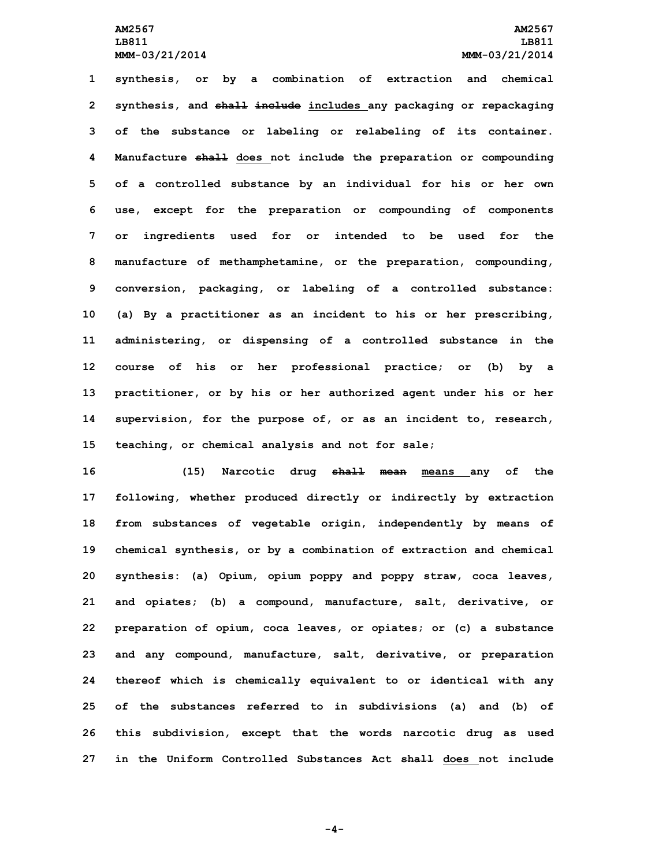**synthesis, or by <sup>a</sup> combination of extraction and chemical synthesis, and shall include includes any packaging or repackaging of the substance or labeling or relabeling of its container. Manufacture shall does not include the preparation or compounding of <sup>a</sup> controlled substance by an individual for his or her own use, except for the preparation or compounding of components or ingredients used for or intended to be used for the manufacture of methamphetamine, or the preparation, compounding, conversion, packaging, or labeling of <sup>a</sup> controlled substance: (a) By <sup>a</sup> practitioner as an incident to his or her prescribing, administering, or dispensing of <sup>a</sup> controlled substance in the course of his or her professional practice; or (b) by <sup>a</sup> practitioner, or by his or her authorized agent under his or her supervision, for the purpose of, or as an incident to, research, teaching, or chemical analysis and not for sale;**

 **(15) Narcotic drug shall mean means any of the following, whether produced directly or indirectly by extraction from substances of vegetable origin, independently by means of chemical synthesis, or by <sup>a</sup> combination of extraction and chemical synthesis: (a) Opium, opium poppy and poppy straw, coca leaves, and opiates; (b) <sup>a</sup> compound, manufacture, salt, derivative, or preparation of opium, coca leaves, or opiates; or (c) <sup>a</sup> substance and any compound, manufacture, salt, derivative, or preparation thereof which is chemically equivalent to or identical with any of the substances referred to in subdivisions (a) and (b) of this subdivision, except that the words narcotic drug as used in the Uniform Controlled Substances Act shall does not include**

**-4-**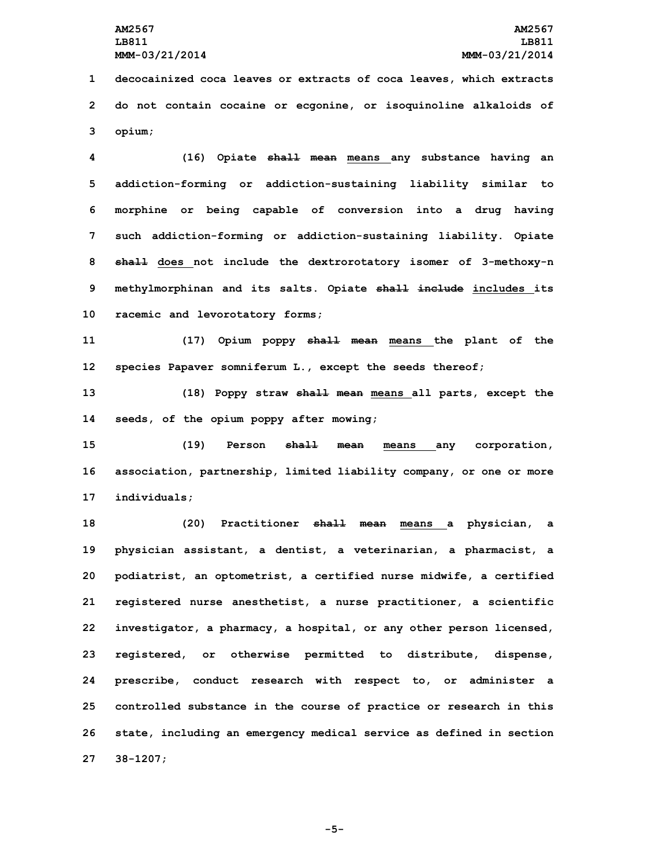**1 decocainized coca leaves or extracts of coca leaves, which extracts 2 do not contain cocaine or ecgonine, or isoquinoline alkaloids of 3 opium;**

 **(16) Opiate shall mean means any substance having an addiction-forming or addiction-sustaining liability similar to morphine or being capable of conversion into <sup>a</sup> drug having such addiction-forming or addiction-sustaining liability. Opiate shall does not include the dextrorotatory isomer of 3-methoxy-n methylmorphinan and its salts. Opiate shall include includes its racemic and levorotatory forms;**

**11 (17) Opium poppy shall mean means the plant of the 12 species Papaver somniferum L., except the seeds thereof;**

**13 (18) Poppy straw shall mean means all parts, except the 14 seeds, of the opium poppy after mowing;**

**15 (19) Person shall mean means any corporation, 16 association, partnership, limited liability company, or one or more 17 individuals;**

 **(20) Practitioner shall mean means <sup>a</sup> physician, <sup>a</sup> physician assistant, <sup>a</sup> dentist, <sup>a</sup> veterinarian, <sup>a</sup> pharmacist, <sup>a</sup> podiatrist, an optometrist, <sup>a</sup> certified nurse midwife, <sup>a</sup> certified registered nurse anesthetist, <sup>a</sup> nurse practitioner, <sup>a</sup> scientific investigator, <sup>a</sup> pharmacy, <sup>a</sup> hospital, or any other person licensed, registered, or otherwise permitted to distribute, dispense, prescribe, conduct research with respect to, or administer <sup>a</sup> controlled substance in the course of practice or research in this state, including an emergency medical service as defined in section 27 38-1207;**

**-5-**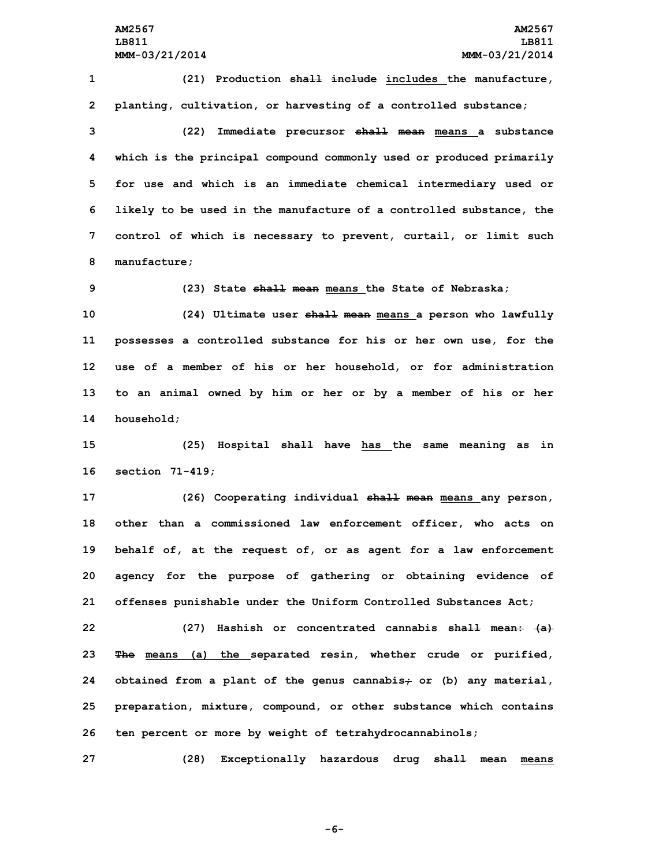**1 (21) Production shall include includes the manufacture, 2 planting, cultivation, or harvesting of <sup>a</sup> controlled substance;**

 **(22) Immediate precursor shall mean means <sup>a</sup> substance which is the principal compound commonly used or produced primarily for use and which is an immediate chemical intermediary used or likely to be used in the manufacture of <sup>a</sup> controlled substance, the control of which is necessary to prevent, curtail, or limit such manufacture;**

**9 (23) State shall mean means the State of Nebraska;**

 **(24) Ultimate user shall mean means <sup>a</sup> person who lawfully possesses <sup>a</sup> controlled substance for his or her own use, for the use of <sup>a</sup> member of his or her household, or for administration to an animal owned by him or her or by <sup>a</sup> member of his or her household;**

**15 (25) Hospital shall have has the same meaning as in 16 section 71-419;**

 **(26) Cooperating individual shall mean means any person, other than <sup>a</sup> commissioned law enforcement officer, who acts on behalf of, at the request of, or as agent for <sup>a</sup> law enforcement agency for the purpose of gathering or obtaining evidence of offenses punishable under the Uniform Controlled Substances Act;**

 **(27) Hashish or concentrated cannabis shall mean: (a) The means (a) the separated resin, whether crude or purified, obtained from <sup>a</sup> plant of the genus cannabis; or (b) any material, preparation, mixture, compound, or other substance which contains ten percent or more by weight of tetrahydrocannabinols;**

**27 (28) Exceptionally hazardous drug shall mean means**

**-6-**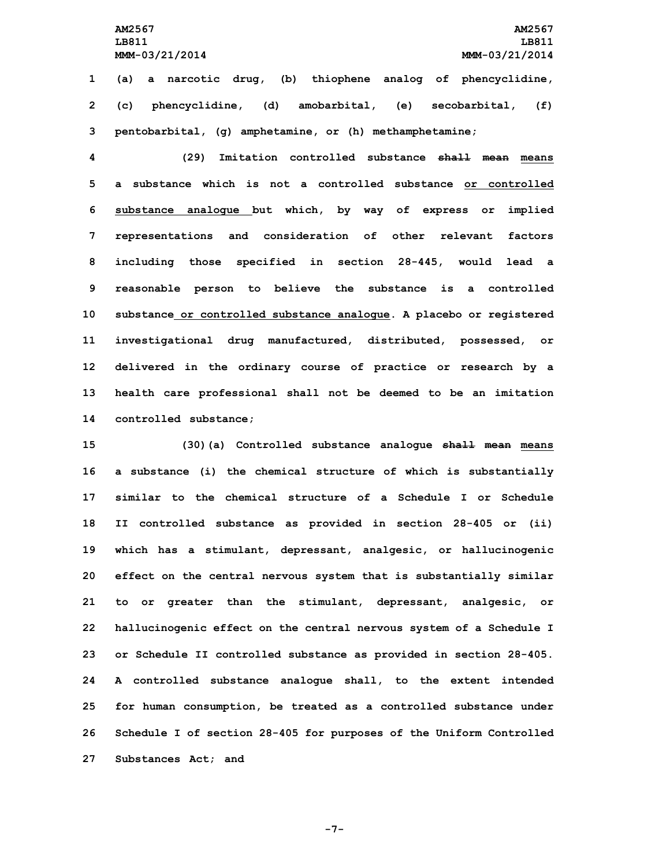**LB811 LB811 MMM-03/21/2014 MMM-03/21/2014**

**AM2567 AM2567**

**1 (a) <sup>a</sup> narcotic drug, (b) thiophene analog of phencyclidine, 2 (c) phencyclidine, (d) amobarbital, (e) secobarbital, (f) 3 pentobarbital, (g) amphetamine, or (h) methamphetamine;**

 **(29) Imitation controlled substance shall mean means a substance which is not a controlled substance or controlled substance analogue but which, by way of express or implied representations and consideration of other relevant factors including those specified in section 28-445, would lead <sup>a</sup> reasonable person to believe the substance is <sup>a</sup> controlled substance or controlled substance analogue. <sup>A</sup> placebo or registered investigational drug manufactured, distributed, possessed, or delivered in the ordinary course of practice or research by <sup>a</sup> health care professional shall not be deemed to be an imitation controlled substance;**

 **(30)(a) Controlled substance analogue shall mean means <sup>a</sup> substance (i) the chemical structure of which is substantially similar to the chemical structure of a Schedule I or Schedule II controlled substance as provided in section 28-405 or (ii) which has <sup>a</sup> stimulant, depressant, analgesic, or hallucinogenic effect on the central nervous system that is substantially similar to or greater than the stimulant, depressant, analgesic, or hallucinogenic effect on the central nervous system of <sup>a</sup> Schedule <sup>I</sup> or Schedule II controlled substance as provided in section 28-405. <sup>A</sup> controlled substance analogue shall, to the extent intended for human consumption, be treated as <sup>a</sup> controlled substance under Schedule <sup>I</sup> of section 28-405 for purposes of the Uniform Controlled Substances Act; and**

**-7-**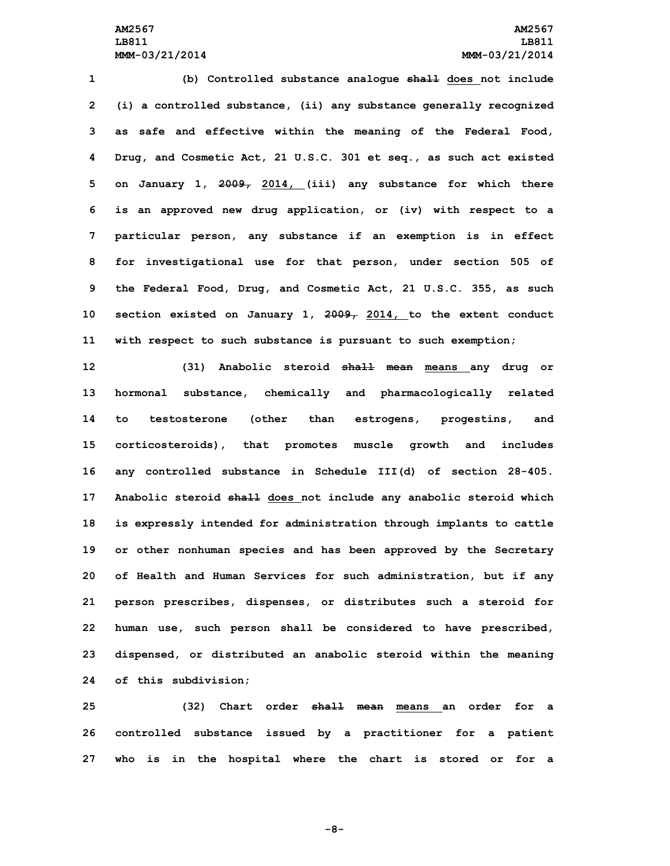## **AM2567 AM2567 LB811 LB811 MMM-03/21/2014 MMM-03/21/2014**

 **(b) Controlled substance analogue shall does not include (i) <sup>a</sup> controlled substance, (ii) any substance generally recognized as safe and effective within the meaning of the Federal Food, Drug, and Cosmetic Act, 21 U.S.C. 301 et seq., as such act existed on January 1, 2009, 2014, (iii) any substance for which there is an approved new drug application, or (iv) with respect to <sup>a</sup> particular person, any substance if an exemption is in effect for investigational use for that person, under section 505 of the Federal Food, Drug, and Cosmetic Act, 21 U.S.C. 355, as such section existed on January 1, 2009, 2014, to the extent conduct with respect to such substance is pursuant to such exemption;**

 **(31) Anabolic steroid shall mean means any drug or hormonal substance, chemically and pharmacologically related to testosterone (other than estrogens, progestins, and corticosteroids), that promotes muscle growth and includes any controlled substance in Schedule III(d) of section 28-405. Anabolic steroid shall does not include any anabolic steroid which is expressly intended for administration through implants to cattle or other nonhuman species and has been approved by the Secretary of Health and Human Services for such administration, but if any person prescribes, dispenses, or distributes such <sup>a</sup> steroid for human use, such person shall be considered to have prescribed, dispensed, or distributed an anabolic steroid within the meaning of this subdivision;**

**25 (32) Chart order shall mean means an order for <sup>a</sup> 26 controlled substance issued by <sup>a</sup> practitioner for <sup>a</sup> patient 27 who is in the hospital where the chart is stored or for <sup>a</sup>**

**-8-**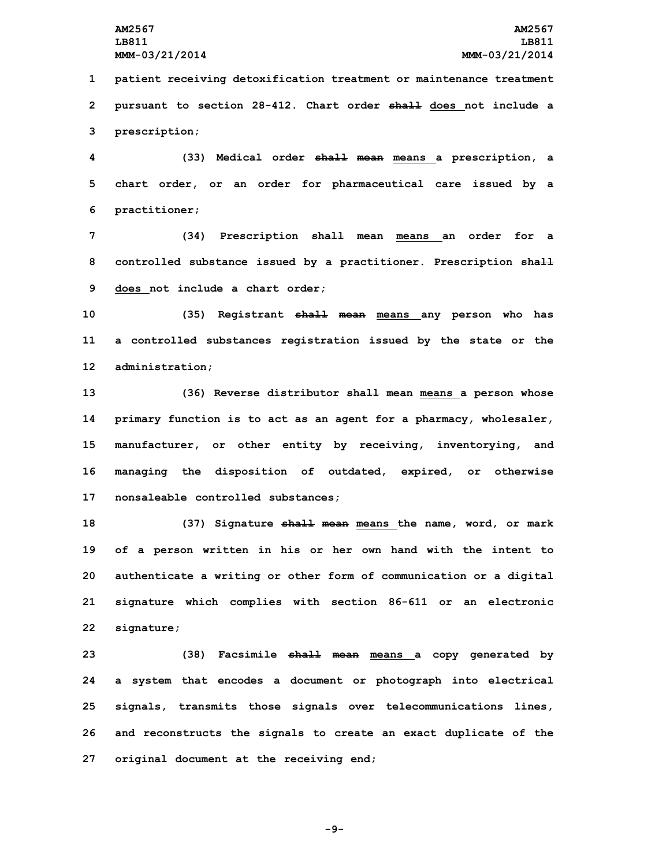**1 patient receiving detoxification treatment or maintenance treatment 2 pursuant to section 28-412. Chart order shall does not include <sup>a</sup> 3 prescription;**

**4 (33) Medical order shall mean means <sup>a</sup> prescription, <sup>a</sup> 5 chart order, or an order for pharmaceutical care issued by <sup>a</sup> 6 practitioner;**

**7 (34) Prescription shall mean means an order for <sup>a</sup> 8 controlled substance issued by <sup>a</sup> practitioner. Prescription shall 9 does not include <sup>a</sup> chart order;**

**10 (35) Registrant shall mean means any person who has 11 <sup>a</sup> controlled substances registration issued by the state or the 12 administration;**

 **(36) Reverse distributor shall mean means <sup>a</sup> person whose primary function is to act as an agent for <sup>a</sup> pharmacy, wholesaler, manufacturer, or other entity by receiving, inventorying, and managing the disposition of outdated, expired, or otherwise nonsaleable controlled substances;**

 **(37) Signature shall mean means the name, word, or mark of <sup>a</sup> person written in his or her own hand with the intent to authenticate <sup>a</sup> writing or other form of communication or <sup>a</sup> digital signature which complies with section 86-611 or an electronic signature;**

 **(38) Facsimile shall mean means <sup>a</sup> copy generated by <sup>a</sup> system that encodes <sup>a</sup> document or photograph into electrical signals, transmits those signals over telecommunications lines, and reconstructs the signals to create an exact duplicate of the original document at the receiving end;**

**-9-**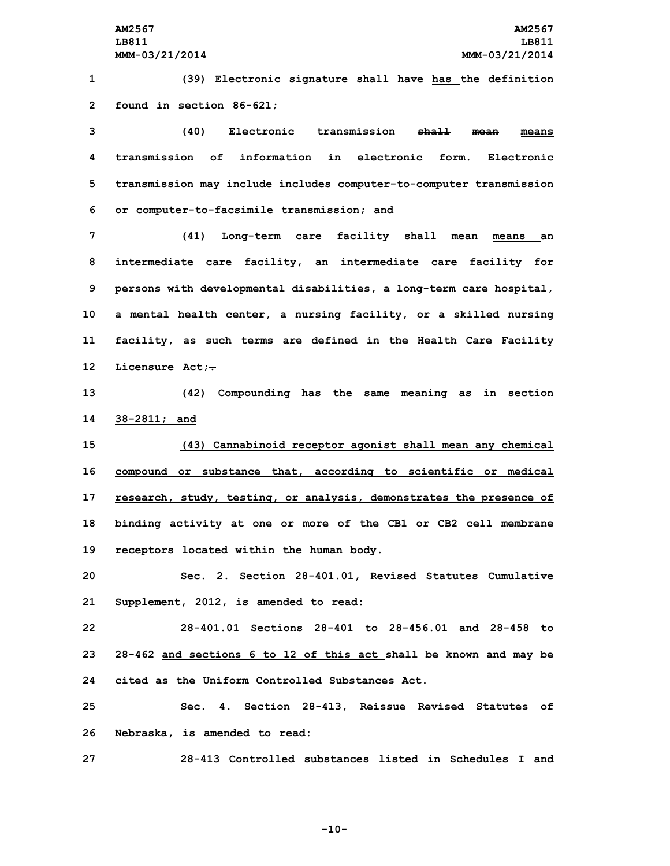**1 (39) Electronic signature shall have has the definition 2 found in section 86-621;**

 **(40) Electronic transmission shall mean means transmission of information in electronic form. Electronic transmission may include includes computer-to-computer transmission or computer-to-facsimile transmission; and**

 **(41) Long-term care facility shall mean means an intermediate care facility, an intermediate care facility for persons with developmental disabilities, <sup>a</sup> long-term care hospital, <sup>a</sup> mental health center, <sup>a</sup> nursing facility, or <sup>a</sup> skilled nursing facility, as such terms are defined in the Health Care Facility Licensure Act;.**

**13 (42) Compounding has the same meaning as in section 14 38-2811; and**

 **(43) Cannabinoid receptor agonist shall mean any chemical compound or substance that, according to scientific or medical research, study, testing, or analysis, demonstrates the presence of binding activity at one or more of the CB1 or CB2 cell membrane receptors located within the human body.**

**20 Sec. 2. Section 28-401.01, Revised Statutes Cumulative 21 Supplement, 2012, is amended to read:**

**22 28-401.01 Sections 28-401 to 28-456.01 and 28-458 to 23 28-462 and sections 6 to 12 of this act shall be known and may be 24 cited as the Uniform Controlled Substances Act.**

**25 Sec. 4. Section 28-413, Reissue Revised Statutes of 26 Nebraska, is amended to read:**

**27 28-413 Controlled substances listed in Schedules I and**

**-10-**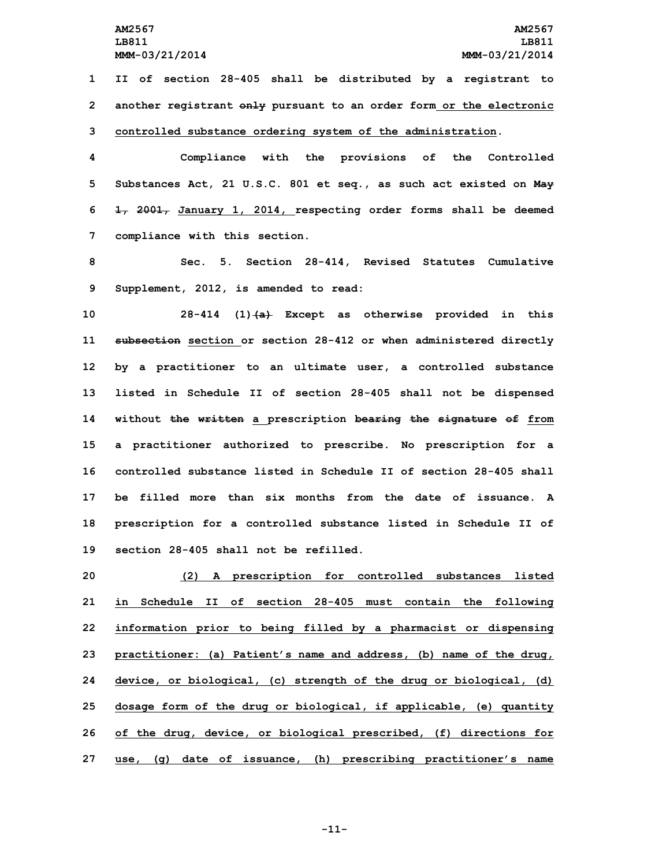**1 II of section 28-405 shall be distributed by <sup>a</sup> registrant to 2 another registrant only pursuant to an order form or the electronic 3 controlled substance ordering system of the administration.**

 **Compliance with the provisions of the Controlled Substances Act, 21 U.S.C. 801 et seq., as such act existed on May 1, 2001, January 1, 2014, respecting order forms shall be deemed compliance with this section.**

**8 Sec. 5. Section 28-414, Revised Statutes Cumulative 9 Supplement, 2012, is amended to read:**

 **28-414 (1)(a) Except as otherwise provided in this subsection section or section 28-412 or when administered directly by <sup>a</sup> practitioner to an ultimate user, <sup>a</sup> controlled substance listed in Schedule II of section 28-405 shall not be dispensed without the written <sup>a</sup> prescription bearing the signature of from <sup>a</sup> practitioner authorized to prescribe. No prescription for <sup>a</sup> controlled substance listed in Schedule II of section 28-405 shall be filled more than six months from the date of issuance. A prescription for <sup>a</sup> controlled substance listed in Schedule II of section 28-405 shall not be refilled.**

 **(2) <sup>A</sup> prescription for controlled substances listed in Schedule II of section 28-405 must contain the following information prior to being filled by <sup>a</sup> pharmacist or dispensing practitioner: (a) Patient's name and address, (b) name of the drug, device, or biological, (c) strength of the drug or biological, (d) dosage form of the drug or biological, if applicable, (e) quantity of the drug, device, or biological prescribed, (f) directions for use, (g) date of issuance, (h) prescribing practitioner's name**

**-11-**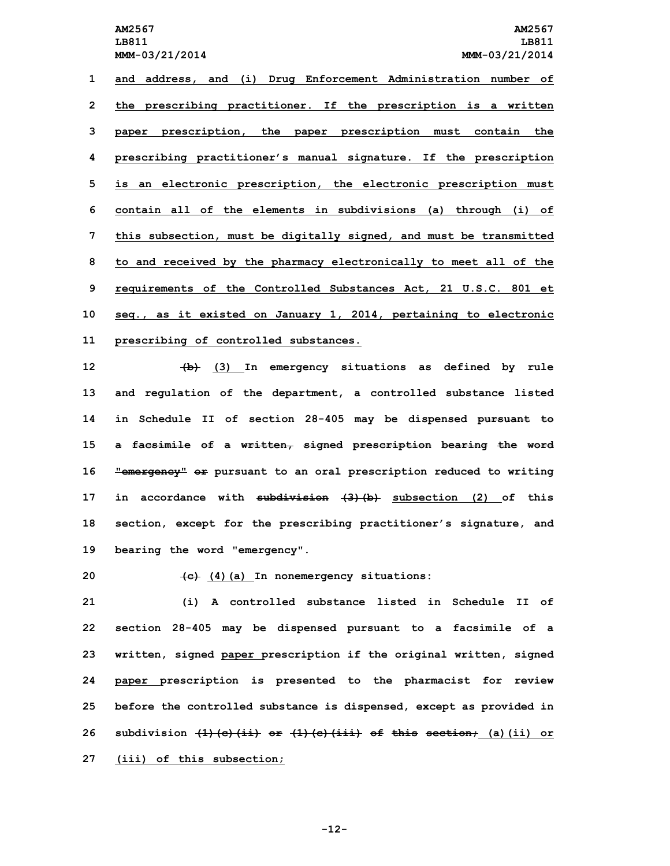**and address, and (i) Drug Enforcement Administration number of the prescribing practitioner. If the prescription is <sup>a</sup> written paper prescription, the paper prescription must contain the prescribing practitioner's manual signature. If the prescription is an electronic prescription, the electronic prescription must contain all of the elements in subdivisions (a) through (i) of this subsection, must be digitally signed, and must be transmitted to and received by the pharmacy electronically to meet all of the requirements of the Controlled Substances Act, 21 U.S.C. 801 et seq., as it existed on January 1, 2014, pertaining to electronic prescribing of controlled substances.**

 **(b) (3) In emergency situations as defined by rule and regulation of the department, <sup>a</sup> controlled substance listed in Schedule II of section 28-405 may be dispensed pursuant to <sup>a</sup> facsimile of <sup>a</sup> written, signed prescription bearing the word "emergency" or pursuant to an oral prescription reduced to writing in accordance with subdivision (3)(b) subsection (2) of this section, except for the prescribing practitioner's signature, and bearing the word "emergency".**

**20 (c) (4)(a) In nonemergency situations:**

 **(i) A controlled substance listed in Schedule II of section 28-405 may be dispensed pursuant to <sup>a</sup> facsimile of <sup>a</sup> written, signed paper prescription if the original written, signed paper prescription is presented to the pharmacist for review before the controlled substance is dispensed, except as provided in subdivision (1)(c)(ii) or (1)(c)(iii) of this section; (a)(ii) or (iii) of this subsection;**

**-12-**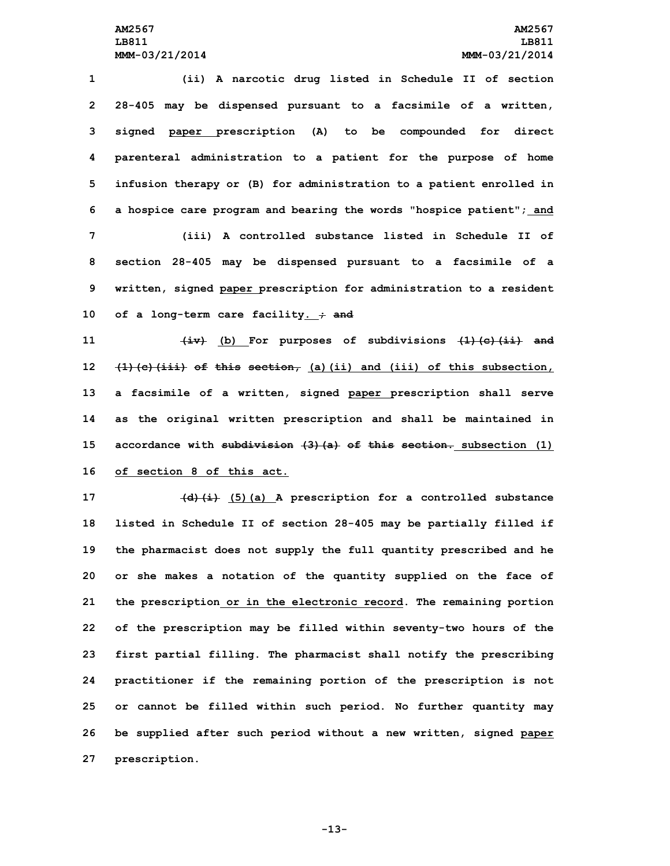**(ii) <sup>A</sup> narcotic drug listed in Schedule II of section 28-405 may be dispensed pursuant to <sup>a</sup> facsimile of <sup>a</sup> written, signed paper prescription (A) to be compounded for direct parenteral administration to <sup>a</sup> patient for the purpose of home infusion therapy or (B) for administration to <sup>a</sup> patient enrolled in <sup>a</sup> hospice care program and bearing the words "hospice patient"; and (iii) A controlled substance listed in Schedule II of section 28-405 may be dispensed pursuant to <sup>a</sup> facsimile of <sup>a</sup> written, signed paper prescription for administration to <sup>a</sup> resident of <sup>a</sup> long-term care facility. ; and**

 **(iv) (b) For purposes of subdivisions (1)(c)(ii) and (1)(c)(iii) of this section, (a)(ii) and (iii) of this subsection, <sup>a</sup> facsimile of <sup>a</sup> written, signed paper prescription shall serve as the original written prescription and shall be maintained in accordance with subdivision (3)(a) of this section. subsection (1) of section 8 of this act.**

 **(d)(i) (5)(a) <sup>A</sup> prescription for <sup>a</sup> controlled substance listed in Schedule II of section 28-405 may be partially filled if the pharmacist does not supply the full quantity prescribed and he or she makes <sup>a</sup> notation of the quantity supplied on the face of the prescription or in the electronic record. The remaining portion of the prescription may be filled within seventy-two hours of the first partial filling. The pharmacist shall notify the prescribing practitioner if the remaining portion of the prescription is not or cannot be filled within such period. No further quantity may be supplied after such period without <sup>a</sup> new written, signed paper prescription.**

**-13-**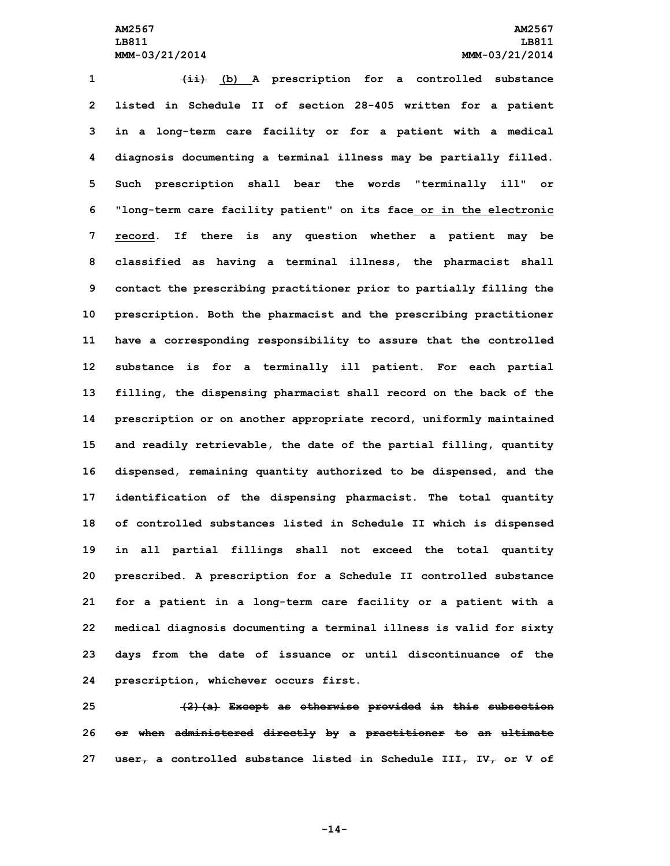**(ii) (b) <sup>A</sup> prescription for <sup>a</sup> controlled substance listed in Schedule II of section 28-405 written for <sup>a</sup> patient in <sup>a</sup> long-term care facility or for <sup>a</sup> patient with <sup>a</sup> medical diagnosis documenting <sup>a</sup> terminal illness may be partially filled. Such prescription shall bear the words "terminally ill" or "long-term care facility patient" on its face or in the electronic record. If there is any question whether <sup>a</sup> patient may be classified as having <sup>a</sup> terminal illness, the pharmacist shall contact the prescribing practitioner prior to partially filling the prescription. Both the pharmacist and the prescribing practitioner have <sup>a</sup> corresponding responsibility to assure that the controlled substance is for <sup>a</sup> terminally ill patient. For each partial filling, the dispensing pharmacist shall record on the back of the prescription or on another appropriate record, uniformly maintained and readily retrievable, the date of the partial filling, quantity dispensed, remaining quantity authorized to be dispensed, and the identification of the dispensing pharmacist. The total quantity of controlled substances listed in Schedule II which is dispensed in all partial fillings shall not exceed the total quantity prescribed. <sup>A</sup> prescription for <sup>a</sup> Schedule II controlled substance for <sup>a</sup> patient in <sup>a</sup> long-term care facility or <sup>a</sup> patient with <sup>a</sup> medical diagnosis documenting <sup>a</sup> terminal illness is valid for sixty days from the date of issuance or until discontinuance of the prescription, whichever occurs first.**

**25 (2)(a) Except as otherwise provided in this subsection 26 or when administered directly by <sup>a</sup> practitioner to an ultimate 27 user, <sup>a</sup> controlled substance listed in Schedule III, IV, or V of**

**-14-**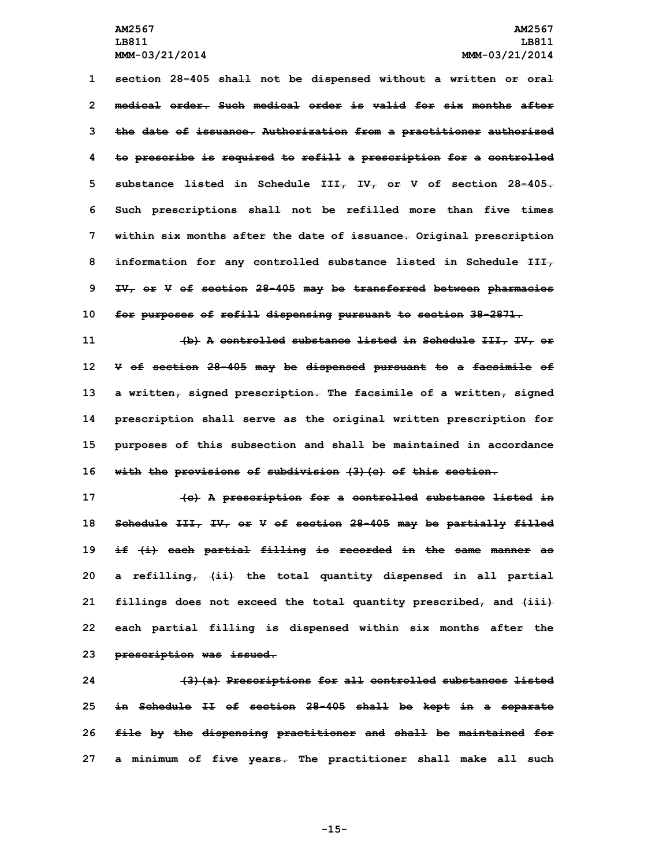**section 28-405 shall not be dispensed without <sup>a</sup> written or oral medical order. Such medical order is valid for six months after the date of issuance. Authorization from <sup>a</sup> practitioner authorized to prescribe is required to refill <sup>a</sup> prescription for <sup>a</sup> controlled substance listed in Schedule III, IV, or V of section 28-405. Such prescriptions shall not be refilled more than five times within six months after the date of issuance. Original prescription information for any controlled substance listed in Schedule III, IV, or <sup>V</sup> of section 28-405 may be transferred between pharmacies for purposes of refill dispensing pursuant to section 38-2871.**

 **(b) A controlled substance listed in Schedule III, IV, or <sup>V</sup> of section 28-405 may be dispensed pursuant to <sup>a</sup> facsimile of <sup>a</sup> written, signed prescription. The facsimile of <sup>a</sup> written, signed prescription shall serve as the original written prescription for purposes of this subsection and shall be maintained in accordance with the provisions of subdivision (3)(c) of this section.**

 **(c) <sup>A</sup> prescription for <sup>a</sup> controlled substance listed in Schedule III, IV, or <sup>V</sup> of section 28-405 may be partially filled if (i) each partial filling is recorded in the same manner as <sup>a</sup> refilling, (ii) the total quantity dispensed in all partial fillings does not exceed the total quantity prescribed, and (iii) each partial filling is dispensed within six months after the prescription was issued.**

 **(3)(a) Prescriptions for all controlled substances listed in Schedule II of section 28-405 shall be kept in <sup>a</sup> separate file by the dispensing practitioner and shall be maintained for <sup>a</sup> minimum of five years. The practitioner shall make all such**

**-15-**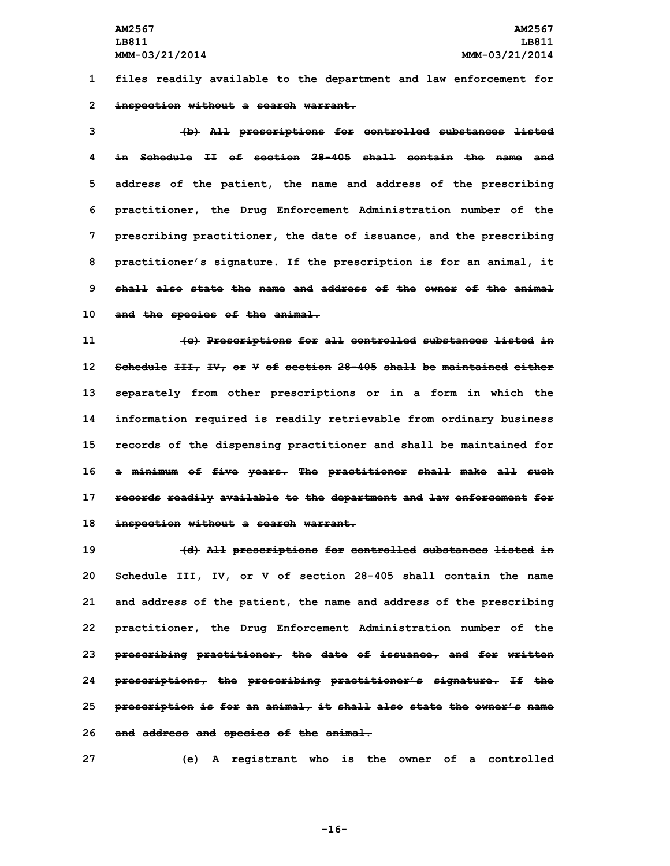**AM2567 AM2567 LB811 LB811 MMM-03/21/2014 MMM-03/21/2014**

**1 files readily available to the department and law enforcement for 2 inspection without <sup>a</sup> search warrant.**

 **(b) All prescriptions for controlled substances listed in Schedule II of section 28-405 shall contain the name and address of the patient, the name and address of the prescribing practitioner, the Drug Enforcement Administration number of the prescribing practitioner, the date of issuance, and the prescribing practitioner's signature. If the prescription is for an animal, it shall also state the name and address of the owner of the animal and the species of the animal.**

 **(c) Prescriptions for all controlled substances listed in Schedule III, IV, or V of section 28-405 shall be maintained either separately from other prescriptions or in <sup>a</sup> form in which the information required is readily retrievable from ordinary business records of the dispensing practitioner and shall be maintained for <sup>a</sup> minimum of five years. The practitioner shall make all such records readily available to the department and law enforcement for inspection without <sup>a</sup> search warrant.**

 **(d) All prescriptions for controlled substances listed in Schedule III, IV, or V of section 28-405 shall contain the name and address of the patient, the name and address of the prescribing practitioner, the Drug Enforcement Administration number of the prescribing practitioner, the date of issuance, and for written prescriptions, the prescribing practitioner's signature. If the prescription is for an animal, it shall also state the owner's name and address and species of the animal.**

**27 (e) <sup>A</sup> registrant who is the owner of <sup>a</sup> controlled**

**-16-**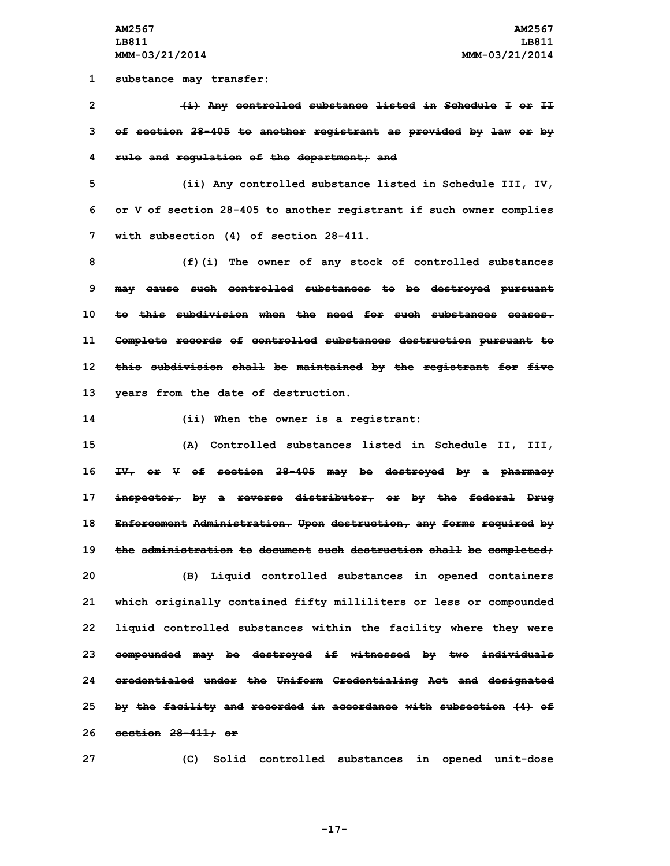**1 substance may transfer:**

**2 (i) Any controlled substance listed in Schedule <sup>I</sup> or II 3 of section 28-405 to another registrant as provided by law or by 4 rule and regulation of the department; and**

**5 (ii) Any controlled substance listed in Schedule III, IV, 6 or <sup>V</sup> of section 28-405 to another registrant if such owner complies 7 with subsection (4) of section 28-411.**

 **(f)(i) The owner of any stock of controlled substances may cause such controlled substances to be destroyed pursuant to this subdivision when the need for such substances ceases. Complete records of controlled substances destruction pursuant to this subdivision shall be maintained by the registrant for five years from the date of destruction.**

**14 (ii) When the owner is <sup>a</sup> registrant:**

 **(A) Controlled substances listed in Schedule II, III, IV, or <sup>V</sup> of section 28-405 may be destroyed by <sup>a</sup> pharmacy inspector, by <sup>a</sup> reverse distributor, or by the federal Drug Enforcement Administration. Upon destruction, any forms required by the administration to document such destruction shall be completed; (B) Liquid controlled substances in opened containers which originally contained fifty milliliters or less or compounded liquid controlled substances within the facility where they were compounded may be destroyed if witnessed by two individuals credentialed under the Uniform Credentialing Act and designated by the facility and recorded in accordance with subsection (4) of section 28-411; or**

**27 (C) Solid controlled substances in opened unit-dose**

**-17-**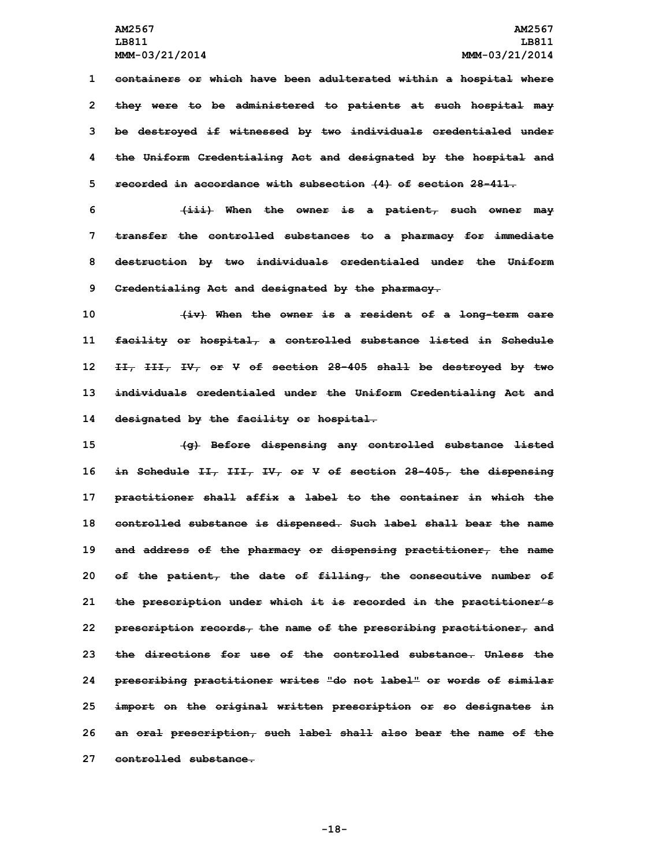**containers or which have been adulterated within <sup>a</sup> hospital where they were to be administered to patients at such hospital may be destroyed if witnessed by two individuals credentialed under the Uniform Credentialing Act and designated by the hospital and recorded in accordance with subsection (4) of section 28-411.**

 **(iii) When the owner is <sup>a</sup> patient, such owner may transfer the controlled substances to <sup>a</sup> pharmacy for immediate destruction by two individuals credentialed under the Uniform Credentialing Act and designated by the pharmacy.**

 **(iv) When the owner is <sup>a</sup> resident of <sup>a</sup> long-term care facility or hospital, <sup>a</sup> controlled substance listed in Schedule II, III, IV, or <sup>V</sup> of section 28-405 shall be destroyed by two individuals credentialed under the Uniform Credentialing Act and designated by the facility or hospital.**

 **(g) Before dispensing any controlled substance listed in Schedule II, III, IV, or <sup>V</sup> of section 28-405, the dispensing practitioner shall affix <sup>a</sup> label to the container in which the controlled substance is dispensed. Such label shall bear the name and address of the pharmacy or dispensing practitioner, the name of the patient, the date of filling, the consecutive number of the prescription under which it is recorded in the practitioner's prescription records, the name of the prescribing practitioner, and the directions for use of the controlled substance. Unless the prescribing practitioner writes "do not label" or words of similar import on the original written prescription or so designates in an oral prescription, such label shall also bear the name of the controlled substance.**

**-18-**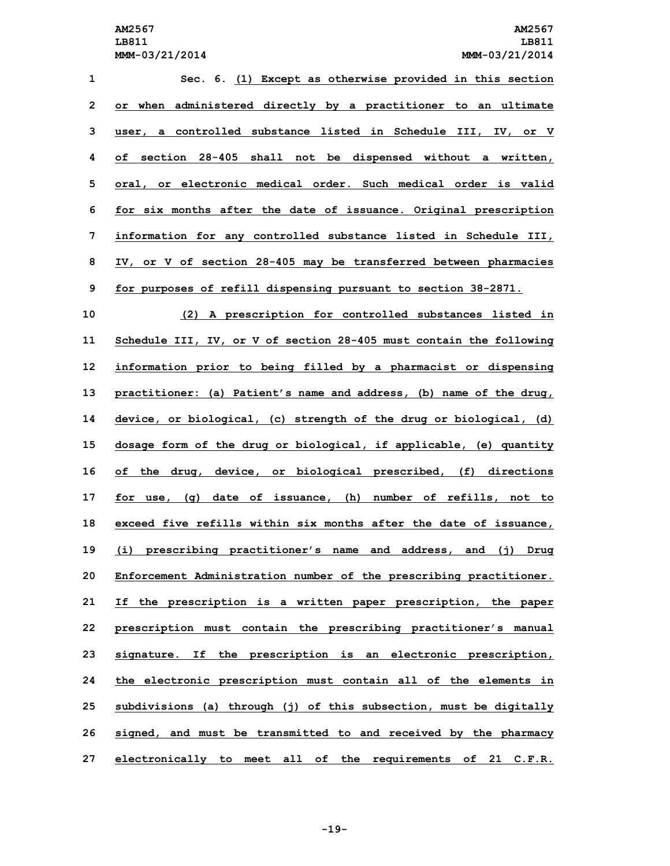| 1  | Sec. 6. (1) Except as otherwise provided in this section              |
|----|-----------------------------------------------------------------------|
| 2  | when<br>administered directly by a practitioner to an ultimate<br>or. |
| 3  | controlled substance listed in Schedule III, IV, or V<br>user,<br>a   |
| 4  | section 28-405 shall not be dispensed without a written,<br>оf        |
| 5  | oral, or electronic medical order. Such medical order is valid        |
| 6  | for six months after the date of issuance. Original prescription      |
| 7  | information for any controlled substance listed in Schedule III,      |
| 8  | IV, or V of section 28-405 may be transferred between pharmacies      |
| 9  | for purposes of refill dispensing pursuant to section 38-2871.        |
| 10 | (2)<br>A prescription for controlled substances listed in             |
| 11 | Schedule III, IV, or V of section 28-405 must contain the following   |
| 12 | information prior to being filled by a pharmacist or dispensing       |
| 13 | practitioner: (a) Patient's name and address, (b) name of the drug,   |
| 14 | device, or biological, (c) strength of the drug or biological, (d)    |
| 15 | dosage form of the drug or biological, if applicable, (e) quantity    |
| 16 | of the drug, device, or biological prescribed, (f) directions         |
| 17 | for use, (g) date of issuance, (h) number of refills, not to          |
| 18 | exceed five refills within six months after the date of issuance,     |
| 19 | (i) prescribing practitioner's name and address, and (j)<br>Drug      |
| 20 | Enforcement Administration number of the prescribing practitioner.    |
| 21 | If the prescription is a written paper prescription, the paper        |
| 22 | prescription must contain the prescribing practitioner's manual       |
| 23 | signature. If the prescription is an electronic prescription,         |
| 24 | the electronic prescription must contain all of the elements in       |
| 25 | subdivisions (a) through (j) of this subsection, must be digitally    |
| 26 | signed, and must be transmitted to and received by the pharmacy       |
| 27 | electronically to meet all of the requirements of 21 C.F.R.           |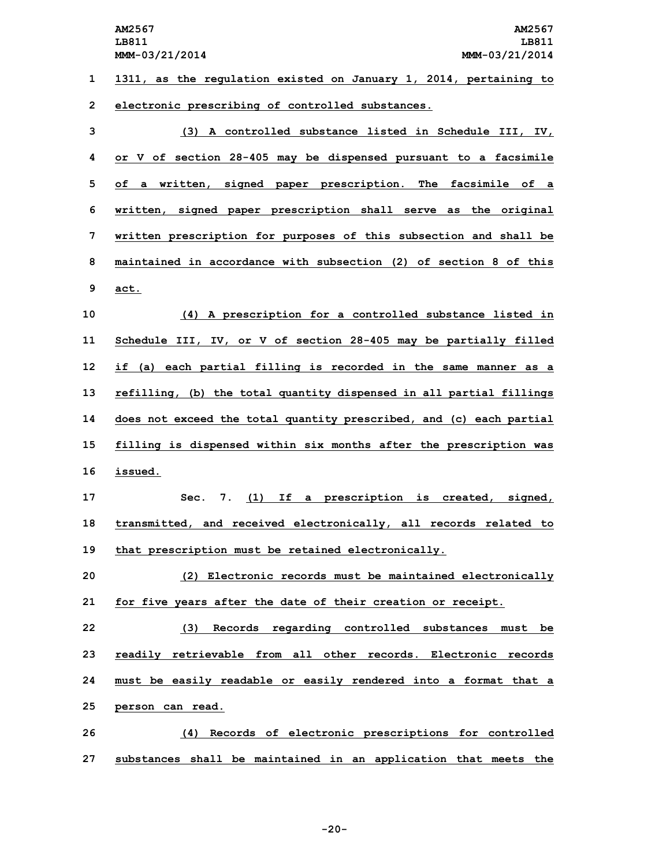**AM2567 AM2567 LB811 LB811 MMM-03/21/2014 MMM-03/21/2014 1311, as the regulation existed on January 1, 2014, pertaining to electronic prescribing of controlled substances. (3) A controlled substance listed in Schedule III, IV, or <sup>V</sup> of section 28-405 may be dispensed pursuant to <sup>a</sup> facsimile of <sup>a</sup> written, signed paper prescription. The facsimile of <sup>a</sup> written, signed paper prescription shall serve as the original written prescription for purposes of this subsection and shall be maintained in accordance with subsection (2) of section 8 of this 9 act. (4) <sup>A</sup> prescription for <sup>a</sup> controlled substance listed in Schedule III, IV, or <sup>V</sup> of section 28-405 may be partially filled if (a) each partial filling is recorded in the same manner as <sup>a</sup> refilling, (b) the total quantity dispensed in all partial fillings does not exceed the total quantity prescribed, and (c) each partial filling is dispensed within six months after the prescription was 16 issued. Sec. 7. (1) If <sup>a</sup> prescription is created, signed, transmitted, and received electronically, all records related to that prescription must be retained electronically. (2) Electronic records must be maintained electronically for five years after the date of their creation or receipt. (3) Records regarding controlled substances must be readily retrievable from all other records. Electronic records must be easily readable or easily rendered into <sup>a</sup> format that <sup>a</sup> person can read. (4) Records of electronic prescriptions for controlled**

**27 substances shall be maintained in an application that meets the**

**-20-**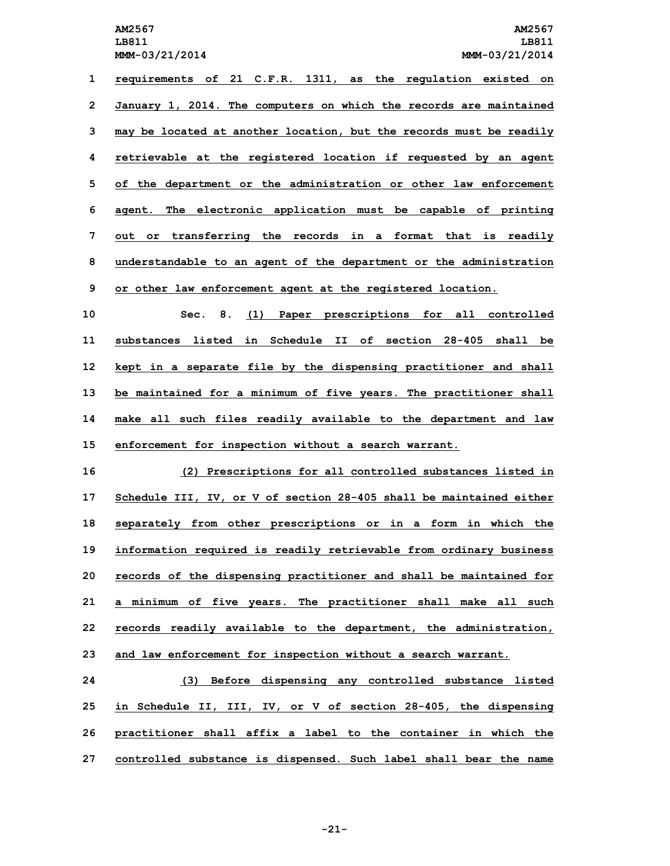**requirements of 21 C.F.R. 1311, as the regulation existed on January 1, 2014. The computers on which the records are maintained may be located at another location, but the records must be readily retrievable at the registered location if requested by an agent of the department or the administration or other law enforcement agent. The electronic application must be capable of printing out or transferring the records in <sup>a</sup> format that is readily understandable to an agent of the department or the administration or other law enforcement agent at the registered location.**

 **Sec. 8. (1) Paper prescriptions for all controlled substances listed in Schedule II of section 28-405 shall be kept in <sup>a</sup> separate file by the dispensing practitioner and shall be maintained for <sup>a</sup> minimum of five years. The practitioner shall make all such files readily available to the department and law enforcement for inspection without <sup>a</sup> search warrant.**

 **(2) Prescriptions for all controlled substances listed in Schedule III, IV, or V of section 28-405 shall be maintained either separately from other prescriptions or in <sup>a</sup> form in which the information required is readily retrievable from ordinary business records of the dispensing practitioner and shall be maintained for <sup>a</sup> minimum of five years. The practitioner shall make all such records readily available to the department, the administration, and law enforcement for inspection without <sup>a</sup> search warrant.**

 **(3) Before dispensing any controlled substance listed in Schedule II, III, IV, or <sup>V</sup> of section 28-405, the dispensing practitioner shall affix <sup>a</sup> label to the container in which the controlled substance is dispensed. Such label shall bear the name**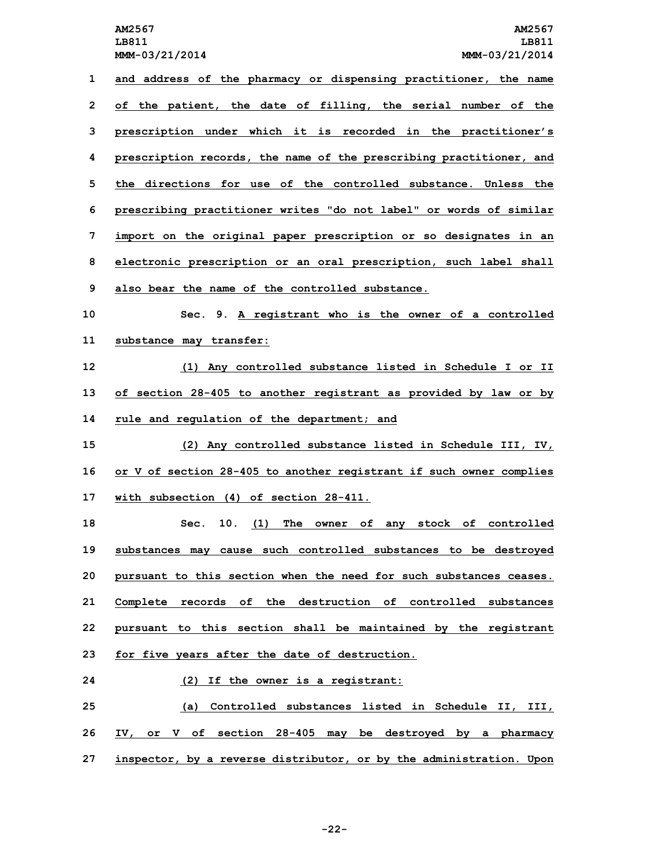**and address of the pharmacy or dispensing practitioner, the name of the patient, the date of filling, the serial number of the prescription under which it is recorded in the practitioner's prescription records, the name of the prescribing practitioner, and the directions for use of the controlled substance. Unless the prescribing practitioner writes "do not label" or words of similar import on the original paper prescription or so designates in an electronic prescription or an oral prescription, such label shall also bear the name of the controlled substance. Sec. 9. <sup>A</sup> registrant who is the owner of <sup>a</sup> controlled substance may transfer: (1) Any controlled substance listed in Schedule <sup>I</sup> or II of section 28-405 to another registrant as provided by law or by rule and regulation of the department; and (2) Any controlled substance listed in Schedule III, IV, or <sup>V</sup> of section 28-405 to another registrant if such owner complies with subsection (4) of section 28-411. Sec. 10. (1) The owner of any stock of controlled substances may cause such controlled substances to be destroyed pursuant to this section when the need for such substances ceases. Complete records of the destruction of controlled substances pursuant to this section shall be maintained by the registrant for five years after the date of destruction. (2) If the owner is <sup>a</sup> registrant: (a) Controlled substances listed in Schedule II, III, IV, or <sup>V</sup> of section 28-405 may be destroyed by <sup>a</sup> pharmacy inspector, by <sup>a</sup> reverse distributor, or by the administration. Upon**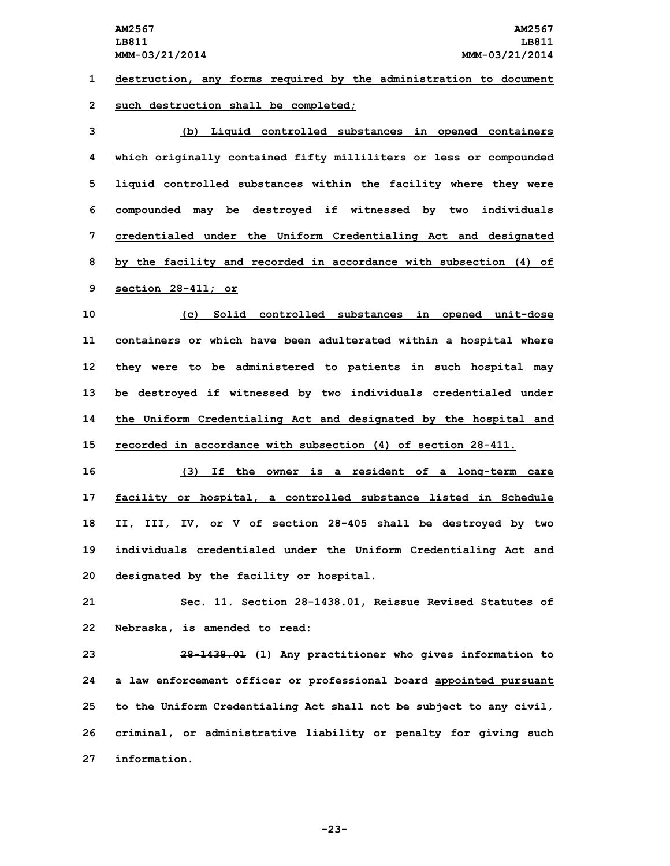**1 destruction, any forms required by the administration to document 2 such destruction shall be completed;**

 **(b) Liquid controlled substances in opened containers which originally contained fifty milliliters or less or compounded liquid controlled substances within the facility where they were compounded may be destroyed if witnessed by two individuals credentialed under the Uniform Credentialing Act and designated by the facility and recorded in accordance with subsection (4) of section 28-411; or**

 **(c) Solid controlled substances in opened unit-dose containers or which have been adulterated within <sup>a</sup> hospital where they were to be administered to patients in such hospital may be destroyed if witnessed by two individuals credentialed under the Uniform Credentialing Act and designated by the hospital and recorded in accordance with subsection (4) of section 28-411.**

 **(3) If the owner is <sup>a</sup> resident of <sup>a</sup> long-term care facility or hospital, <sup>a</sup> controlled substance listed in Schedule II, III, IV, or <sup>V</sup> of section 28-405 shall be destroyed by two individuals credentialed under the Uniform Credentialing Act and designated by the facility or hospital.**

**21 Sec. 11. Section 28-1438.01, Reissue Revised Statutes of 22 Nebraska, is amended to read:**

 **28-1438.01 (1) Any practitioner who gives information to <sup>a</sup> law enforcement officer or professional board appointed pursuant to the Uniform Credentialing Act shall not be subject to any civil, criminal, or administrative liability or penalty for giving such information.**

**-23-**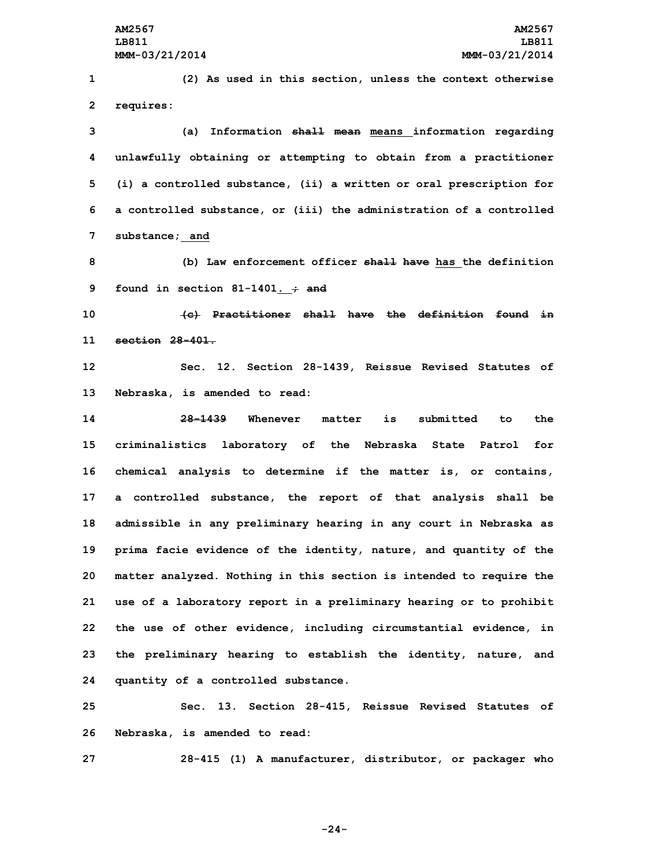**(2) As used in this section, unless the context otherwise requires: (a) Information shall mean means information regarding unlawfully obtaining or attempting to obtain from <sup>a</sup> practitioner (i) <sup>a</sup> controlled substance, (ii) <sup>a</sup> written or oral prescription for <sup>a</sup> controlled substance, or (iii) the administration of <sup>a</sup> controlled substance; and (b) Law enforcement officer shall have has the definition found in section 81-1401. ; and (c) Practitioner shall have the definition found in section 28-401. Sec. 12. Section 28-1439, Reissue Revised Statutes of Nebraska, is amended to read: 28-1439 Whenever matter is submitted to the criminalistics laboratory of the Nebraska State Patrol for chemical analysis to determine if the matter is, or contains, <sup>a</sup> controlled substance, the report of that analysis shall be admissible in any preliminary hearing in any court in Nebraska as prima facie evidence of the identity, nature, and quantity of the matter analyzed. Nothing in this section is intended to require the use of <sup>a</sup> laboratory report in <sup>a</sup> preliminary hearing or to prohibit the use of other evidence, including circumstantial evidence, in the preliminary hearing to establish the identity, nature, and quantity of <sup>a</sup> controlled substance. Sec. 13. Section 28-415, Reissue Revised Statutes of Nebraska, is amended to read:**

**27 28-415 (1) <sup>A</sup> manufacturer, distributor, or packager who**

**-24-**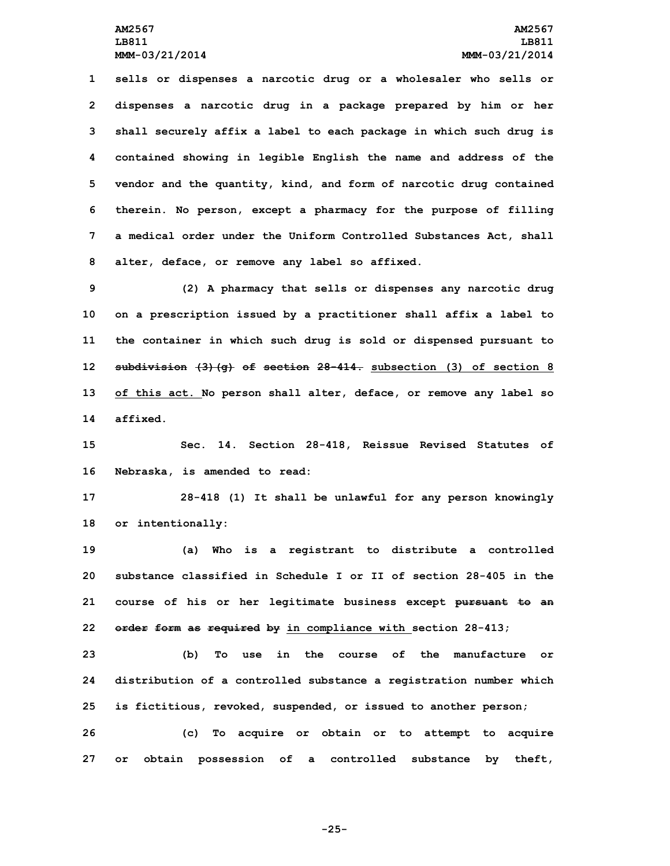**sells or dispenses <sup>a</sup> narcotic drug or <sup>a</sup> wholesaler who sells or dispenses <sup>a</sup> narcotic drug in <sup>a</sup> package prepared by him or her shall securely affix <sup>a</sup> label to each package in which such drug is contained showing in legible English the name and address of the vendor and the quantity, kind, and form of narcotic drug contained therein. No person, except <sup>a</sup> pharmacy for the purpose of filling <sup>a</sup> medical order under the Uniform Controlled Substances Act, shall alter, deface, or remove any label so affixed.**

 **(2) <sup>A</sup> pharmacy that sells or dispenses any narcotic drug on <sup>a</sup> prescription issued by <sup>a</sup> practitioner shall affix <sup>a</sup> label to the container in which such drug is sold or dispensed pursuant to subdivision (3)(g) of section 28-414. subsection (3) of section 8 of this act. No person shall alter, deface, or remove any label so 14 affixed.**

**15 Sec. 14. Section 28-418, Reissue Revised Statutes of 16 Nebraska, is amended to read:**

**17 28-418 (1) It shall be unlawful for any person knowingly 18 or intentionally:**

 **(a) Who is <sup>a</sup> registrant to distribute <sup>a</sup> controlled substance classified in Schedule I or II of section 28-405 in the course of his or her legitimate business except pursuant to an order form as required by in compliance with section 28-413;**

**23 (b) To use in the course of the manufacture or 24 distribution of <sup>a</sup> controlled substance <sup>a</sup> registration number which 25 is fictitious, revoked, suspended, or issued to another person;**

**26 (c) To acquire or obtain or to attempt to acquire 27 or obtain possession of <sup>a</sup> controlled substance by theft,**

**-25-**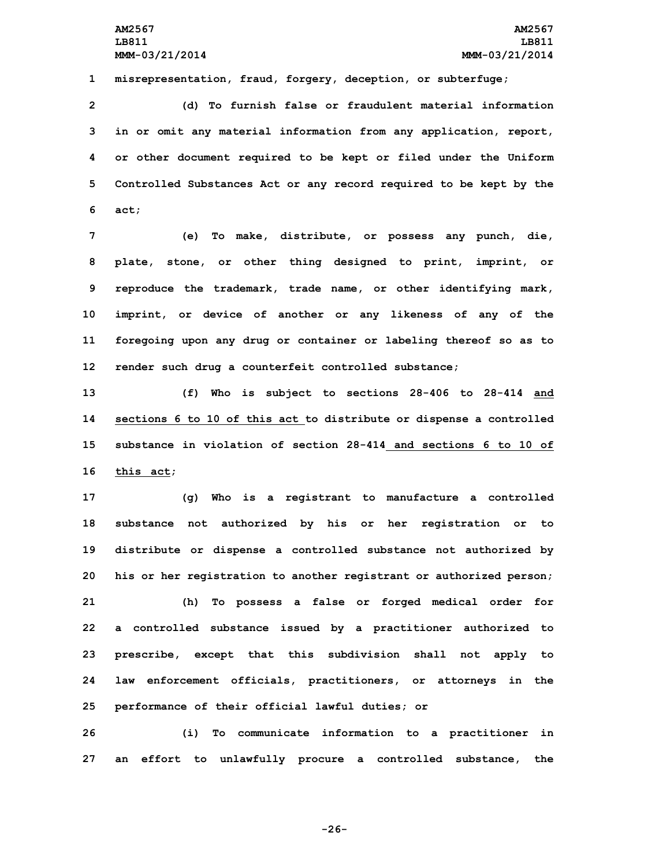**1 misrepresentation, fraud, forgery, deception, or subterfuge;**

 **(d) To furnish false or fraudulent material information in or omit any material information from any application, report, or other document required to be kept or filed under the Uniform Controlled Substances Act or any record required to be kept by the 6 act;**

 **(e) To make, distribute, or possess any punch, die, plate, stone, or other thing designed to print, imprint, or reproduce the trademark, trade name, or other identifying mark, imprint, or device of another or any likeness of any of the foregoing upon any drug or container or labeling thereof so as to render such drug <sup>a</sup> counterfeit controlled substance;**

 **(f) Who is subject to sections 28-406 to 28-414 and sections 6 to 10 of this act to distribute or dispense <sup>a</sup> controlled substance in violation of section 28-414 and sections 6 to 10 of this act;**

 **(g) Who is <sup>a</sup> registrant to manufacture <sup>a</sup> controlled substance not authorized by his or her registration or to distribute or dispense <sup>a</sup> controlled substance not authorized by his or her registration to another registrant or authorized person; (h) To possess <sup>a</sup> false or forged medical order for <sup>a</sup> controlled substance issued by <sup>a</sup> practitioner authorized to prescribe, except that this subdivision shall not apply to law enforcement officials, practitioners, or attorneys in the performance of their official lawful duties; or**

**26 (i) To communicate information to <sup>a</sup> practitioner in 27 an effort to unlawfully procure <sup>a</sup> controlled substance, the**

**-26-**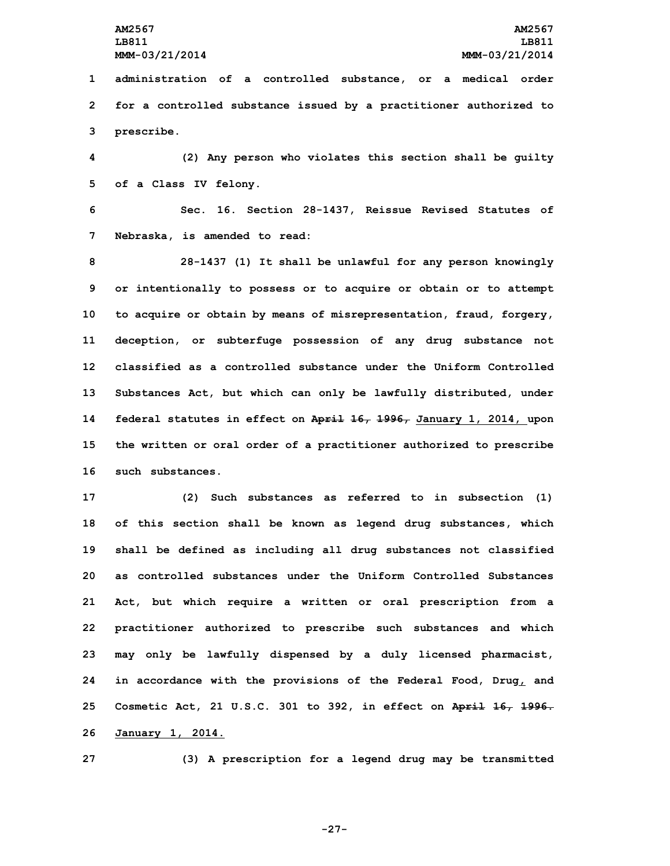**1 administration of <sup>a</sup> controlled substance, or <sup>a</sup> medical order 2 for <sup>a</sup> controlled substance issued by <sup>a</sup> practitioner authorized to 3 prescribe.**

**4 (2) Any person who violates this section shall be guilty 5 of <sup>a</sup> Class IV felony.**

**6 Sec. 16. Section 28-1437, Reissue Revised Statutes of 7 Nebraska, is amended to read:**

 **28-1437 (1) It shall be unlawful for any person knowingly or intentionally to possess or to acquire or obtain or to attempt to acquire or obtain by means of misrepresentation, fraud, forgery, deception, or subterfuge possession of any drug substance not classified as a controlled substance under the Uniform Controlled Substances Act, but which can only be lawfully distributed, under federal statutes in effect on April 16, 1996, January 1, 2014, upon the written or oral order of <sup>a</sup> practitioner authorized to prescribe such substances.**

 **(2) Such substances as referred to in subsection (1) of this section shall be known as legend drug substances, which shall be defined as including all drug substances not classified as controlled substances under the Uniform Controlled Substances Act, but which require <sup>a</sup> written or oral prescription from <sup>a</sup> practitioner authorized to prescribe such substances and which may only be lawfully dispensed by <sup>a</sup> duly licensed pharmacist, in accordance with the provisions of the Federal Food, Drug, and Cosmetic Act, 21 U.S.C. 301 to 392, in effect on April 16, 1996. January 1, 2014.**

**27 (3) <sup>A</sup> prescription for <sup>a</sup> legend drug may be transmitted**

**-27-**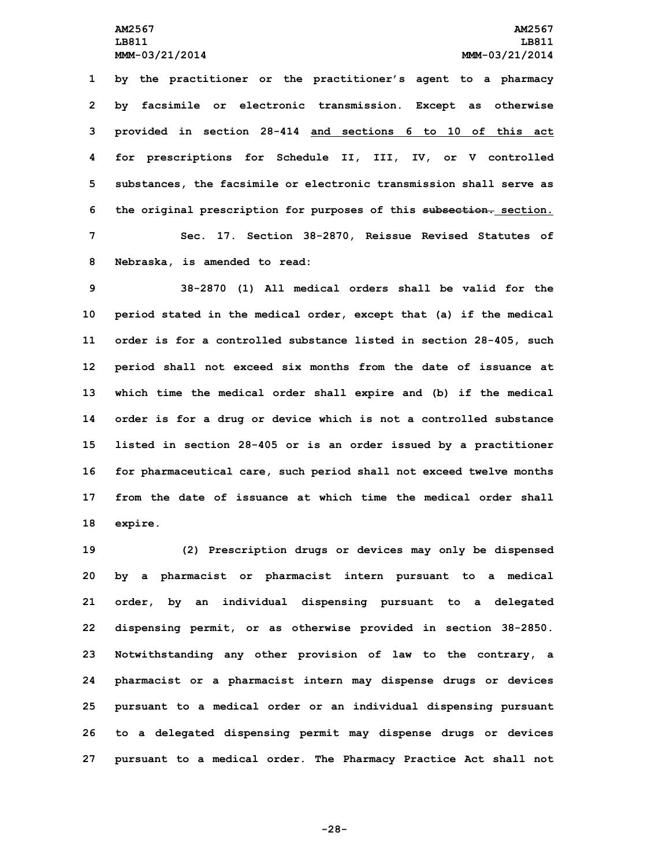**by the practitioner or the practitioner's agent to <sup>a</sup> pharmacy by facsimile or electronic transmission. Except as otherwise provided in section 28-414 and sections 6 to 10 of this act for prescriptions for Schedule II, III, IV, or V controlled substances, the facsimile or electronic transmission shall serve as the original prescription for purposes of this subsection. section. Sec. 17. Section 38-2870, Reissue Revised Statutes of Nebraska, is amended to read:**

 **38-2870 (1) All medical orders shall be valid for the period stated in the medical order, except that (a) if the medical order is for <sup>a</sup> controlled substance listed in section 28-405, such period shall not exceed six months from the date of issuance at which time the medical order shall expire and (b) if the medical order is for <sup>a</sup> drug or device which is not <sup>a</sup> controlled substance listed in section 28-405 or is an order issued by <sup>a</sup> practitioner for pharmaceutical care, such period shall not exceed twelve months from the date of issuance at which time the medical order shall 18 expire.**

 **(2) Prescription drugs or devices may only be dispensed by <sup>a</sup> pharmacist or pharmacist intern pursuant to <sup>a</sup> medical order, by an individual dispensing pursuant to <sup>a</sup> delegated dispensing permit, or as otherwise provided in section 38-2850. Notwithstanding any other provision of law to the contrary, <sup>a</sup> pharmacist or <sup>a</sup> pharmacist intern may dispense drugs or devices pursuant to <sup>a</sup> medical order or an individual dispensing pursuant to <sup>a</sup> delegated dispensing permit may dispense drugs or devices pursuant to <sup>a</sup> medical order. The Pharmacy Practice Act shall not**

**-28-**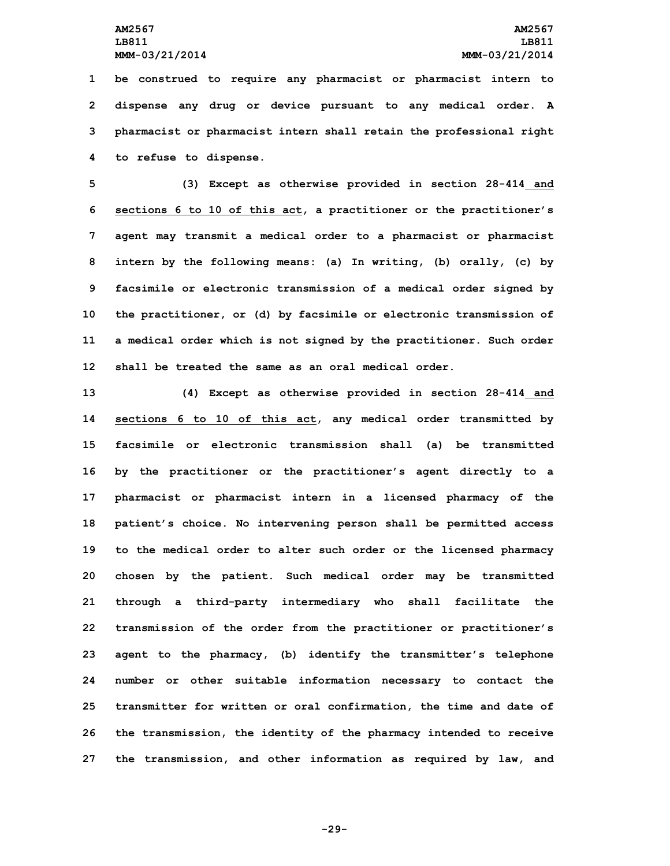**be construed to require any pharmacist or pharmacist intern to dispense any drug or device pursuant to any medical order. <sup>A</sup> pharmacist or pharmacist intern shall retain the professional right to refuse to dispense.**

 **(3) Except as otherwise provided in section 28-414 and sections 6 to 10 of this act, <sup>a</sup> practitioner or the practitioner's agent may transmit <sup>a</sup> medical order to <sup>a</sup> pharmacist or pharmacist intern by the following means: (a) In writing, (b) orally, (c) by facsimile or electronic transmission of <sup>a</sup> medical order signed by the practitioner, or (d) by facsimile or electronic transmission of <sup>a</sup> medical order which is not signed by the practitioner. Such order shall be treated the same as an oral medical order.**

 **(4) Except as otherwise provided in section 28-414 and sections 6 to 10 of this act, any medical order transmitted by facsimile or electronic transmission shall (a) be transmitted by the practitioner or the practitioner's agent directly to <sup>a</sup> pharmacist or pharmacist intern in <sup>a</sup> licensed pharmacy of the patient's choice. No intervening person shall be permitted access to the medical order to alter such order or the licensed pharmacy chosen by the patient. Such medical order may be transmitted through <sup>a</sup> third-party intermediary who shall facilitate the transmission of the order from the practitioner or practitioner's agent to the pharmacy, (b) identify the transmitter's telephone number or other suitable information necessary to contact the transmitter for written or oral confirmation, the time and date of the transmission, the identity of the pharmacy intended to receive the transmission, and other information as required by law, and**

**-29-**